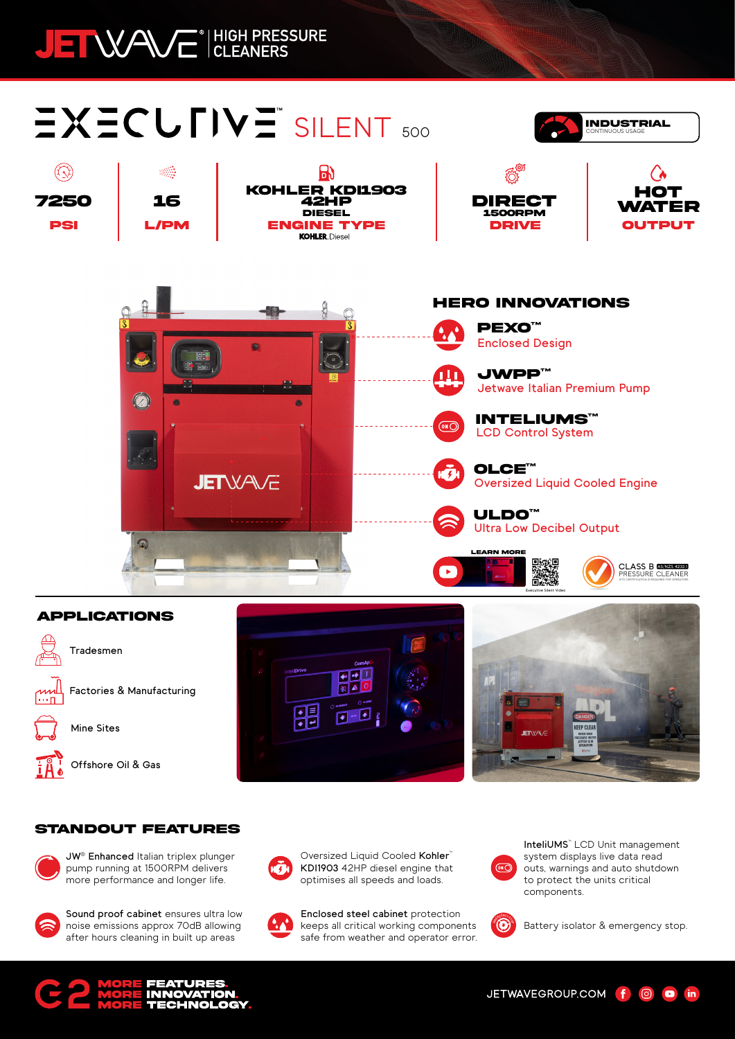## JEI WAVE<sup>®</sup> HIGH PRESSURE

## SILENT 500





## **APPLICATIONS**



**Offshore Oil & Gas**





PRESSURE CLEANER **AS/NZS 4233.1 CLASS B**RTO CERTIFICATION IS REQUIRED FOR OPERATORS

**Executive Silent Video**

## **STANDOUT FEATURES**



**JW® Enhanced** Italian triplex plunger pump running at 1500RPM delivers more performance and longer life.



**Sound proof cabinet** ensures ultra low noise emissions approx 70dB allowing after hours cleaning in built up areas



Oversized Liquid Cooled Kohler<sup>™</sup> **KDI1903** 42HP diesel engine that optimises all speeds and loads.



**Enclosed steel cabinet** protection keeps all critical working components safe from weather and operator error.



**InteliUMS™** LCD Unit management system displays live data read outs, warnings and auto shutdown to protect the units critical components.



Battery isolator & emergency stop.